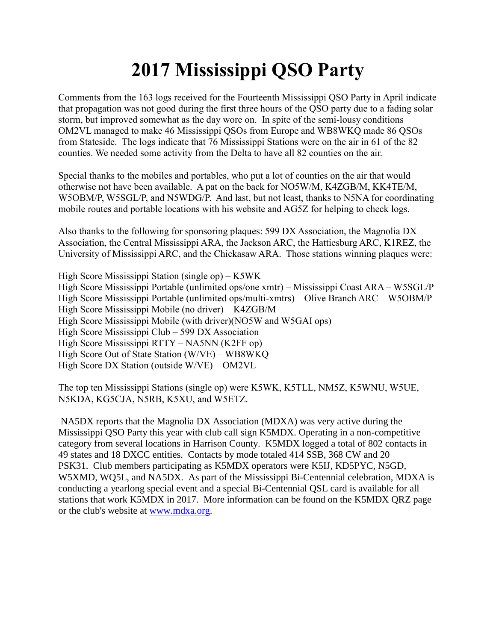## **2017 Mississippi QSO Party**

Comments from the 163 logs received for the Fourteenth Mississippi QSO Party in April indicate that propagation was not good during the first three hours of the QSO party due to a fading solar storm, but improved somewhat as the day wore on. In spite of the semi-lousy conditions OM2VL managed to make 46 Mississippi QSOs from Europe and WB8WKQ made 86 QSOs from Stateside. The logs indicate that 76 Mississippi Stations were on the air in 61 of the 82 counties. We needed some activity from the Delta to have all 82 counties on the air.

Special thanks to the mobiles and portables, who put a lot of counties on the air that would otherwise not have been available. A pat on the back for NO5W/M, K4ZGB/M, KK4TE/M, W5OBM/P, W5SGL/P, and N5WDG/P. And last, but not least, thanks to N5NA for coordinating mobile routes and portable locations with his website and AG5Z for helping to check logs.

Also thanks to the following for sponsoring plaques: 599 DX Association, the Magnolia DX Association, the Central Mississippi ARA, the Jackson ARC, the Hattiesburg ARC, K1REZ, the University of Mississippi ARC, and the Chickasaw ARA. Those stations winning plaques were:

High Score Mississippi Station (single op) – K5WK High Score Mississippi Portable (unlimited ops/one xmtr) – Mississippi Coast ARA – W5SGL/P High Score Mississippi Portable (unlimited ops/multi-xmtrs) – Olive Branch ARC – W5OBM/P High Score Mississippi Mobile (no driver) – K4ZGB/M High Score Mississippi Mobile (with driver)(NO5W and W5GAI ops) High Score Mississippi Club – 599 DX Association High Score Mississippi RTTY – NA5NN (K2FF op) High Score Out of State Station (W/VE) – WB8WKQ High Score DX Station (outside W/VE) – OM2VL

The top ten Mississippi Stations (single op) were K5WK, K5TLL, NM5Z, K5WNU, W5UE, N5KDA, KG5CJA, N5RB, K5XU, and W5ETZ.

NA5DX reports that the Magnolia DX Association (MDXA) was very active during the Mississippi QSO Party this year with club call sign K5MDX. Operating in a non-competitive category from several locations in Harrison County. K5MDX logged a total of 802 contacts in 49 states and 18 DXCC entities. Contacts by mode totaled 414 SSB, 368 CW and 20 PSK31. Club members participating as K5MDX operators were K5IJ, KD5PYC, N5GD, W5XMD, WQ5L, and NA5DX. As part of the Mississippi Bi-Centennial celebration, MDXA is conducting a yearlong special event and a special Bi-Centennial QSL card is available for all stations that work K5MDX in 2017. More information can be found on the K5MDX QRZ page or the club's website at [www.mdxa.org.](http://www.mdxa.org/)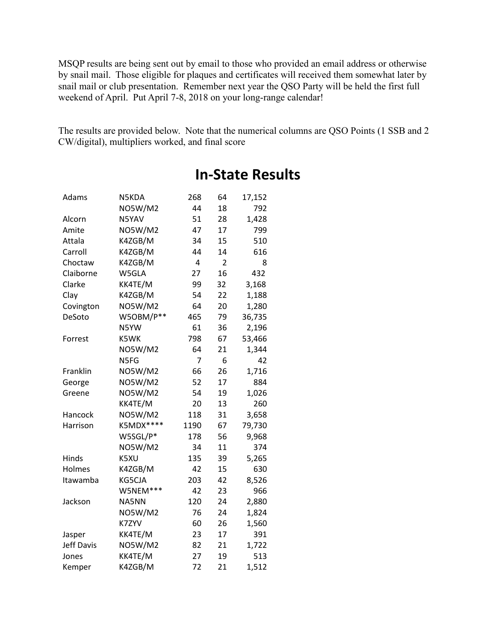MSQP results are being sent out by email to those who provided an email address or otherwise by snail mail. Those eligible for plaques and certificates will received them somewhat later by snail mail or club presentation. Remember next year the QSO Party will be held the first full weekend of April. Put April 7-8, 2018 on your long-range calendar!

The results are provided below. Note that the numerical columns are QSO Points (1 SSB and 2 CW/digital), multipliers worked, and final score

| Adams             | N5KDA          | 268  | 64 | 17,152 |
|-------------------|----------------|------|----|--------|
|                   | NO5W/M2        | 44   | 18 | 792    |
| Alcorn            | N5YAV          |      | 28 | 1,428  |
| Amite             | <b>NO5W/M2</b> | 47   | 17 | 799    |
| Attala            | K4ZGB/M        | 34   | 15 | 510    |
| Carroll           | K4ZGB/M        | 44   | 14 | 616    |
| Choctaw           | K4ZGB/M        | 4    | 2  | 8      |
| Claiborne         | W5GLA          | 27   | 16 | 432    |
| Clarke            | KK4TE/M        | 99   | 32 | 3,168  |
| Clay              | K4ZGB/M        | 54   | 22 | 1,188  |
| Covington         | NO5W/M2        | 64   | 20 | 1,280  |
| DeSoto            | W5OBM/P**      | 465  | 79 | 36,735 |
|                   | N5YW           | 61   | 36 | 2,196  |
| Forrest           | K5WK           | 798  | 67 | 53,466 |
|                   | NO5W/M2        | 64   | 21 | 1,344  |
|                   | N5FG           | 7    | 6  | 42     |
| Franklin          | <b>NO5W/M2</b> | 66   | 26 | 1,716  |
| George            | NO5W/M2        | 52   | 17 | 884    |
| Greene            | NO5W/M2        | 54   | 19 | 1,026  |
|                   | KK4TE/M        | 20   | 13 | 260    |
| Hancock           | <b>NO5W/M2</b> | 118  | 31 | 3,658  |
| Harrison          | K5MDX****      | 1190 | 67 | 79,730 |
|                   | W5SGL/P*       | 178  | 56 | 9,968  |
|                   | NO5W/M2        | 34   | 11 | 374    |
| Hinds             | K5XU           | 135  | 39 | 5,265  |
| Holmes            | K4ZGB/M        | 42   | 15 | 630    |
| Itawamba          | KG5CJA         | 203  | 42 | 8,526  |
|                   | W5NEM***       | 42   | 23 | 966    |
| Jackson           | NA5NN          | 120  | 24 | 2,880  |
|                   | <b>NO5W/M2</b> | 76   | 24 | 1,824  |
|                   | K7ZYV          | 60   | 26 | 1,560  |
| Jasper            | KK4TE/M        | 23   | 17 | 391    |
| <b>Jeff Davis</b> | NO5W/M2        | 82   | 21 | 1,722  |
| Jones             | KK4TE/M        | 27   | 19 | 513    |
| Kemper            | K4ZGB/M        | 72   | 21 | 1,512  |

## **In-State Results**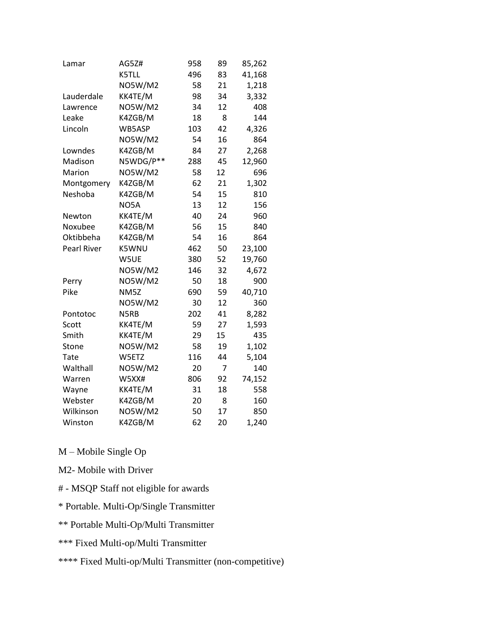| Lamar              | AG5Z#          | 958 | 89 | 85,262 |
|--------------------|----------------|-----|----|--------|
|                    | K5TLL          | 496 | 83 | 41,168 |
|                    | <b>NO5W/M2</b> | 58  | 21 | 1,218  |
| Lauderdale         | KK4TE/M        | 98  | 34 | 3,332  |
| Lawrence           | <b>NO5W/M2</b> | 34  | 12 | 408    |
| Leake              | K4ZGB/M        | 18  | 8  | 144    |
| Lincoln            | WB5ASP         | 103 | 42 | 4,326  |
|                    | <b>NO5W/M2</b> | 54  | 16 | 864    |
| Lowndes            | K4ZGB/M        | 84  | 27 | 2,268  |
| Madison            | N5WDG/P**      | 288 | 45 | 12,960 |
| Marion             | <b>NO5W/M2</b> | 58  | 12 | 696    |
| Montgomery         | K4ZGB/M        | 62  | 21 | 1,302  |
| Neshoba            | K4ZGB/M        | 54  | 15 | 810    |
|                    | NO5A           | 13  | 12 | 156    |
| Newton             | KK4TE/M        | 40  | 24 | 960    |
| Noxubee            | K4ZGB/M        | 56  | 15 | 840    |
| Oktibbeha          | K4ZGB/M        | 54  | 16 | 864    |
| <b>Pearl River</b> | K5WNU          | 462 | 50 | 23,100 |
|                    | W5UE           | 380 | 52 | 19,760 |
|                    | NO5W/M2        | 146 | 32 | 4,672  |
| Perry              | <b>NO5W/M2</b> | 50  | 18 | 900    |
| Pike               | NM5Z           | 690 | 59 | 40,710 |
|                    | NO5W/M2        | 30  | 12 | 360    |
| Pontotoc           | N5RB           | 202 | 41 | 8,282  |
| Scott              | KK4TE/M        | 59  | 27 | 1,593  |
| Smith              | KK4TE/M        | 29  | 15 | 435    |
| Stone              | <b>NO5W/M2</b> | 58  | 19 | 1,102  |
| <b>Tate</b>        | W5ETZ          | 116 | 44 | 5,104  |
| Walthall           | <b>NO5W/M2</b> | 20  | 7  | 140    |
| Warren             | W5XX#          | 806 | 92 | 74,152 |
| Wayne              | KK4TE/M        | 31  | 18 | 558    |
| Webster            | K4ZGB/M        | 20  | 8  | 160    |
| Wilkinson          | <b>NO5W/M2</b> | 50  | 17 | 850    |
| Winston            | K4ZGB/M        | 62  | 20 | 1,240  |

M – Mobile Single Op

- M2- Mobile with Driver
- # MSQP Staff not eligible for awards
- \* Portable. Multi-Op/Single Transmitter
- \*\* Portable Multi-Op/Multi Transmitter
- \*\*\* Fixed Multi-op/Multi Transmitter

\*\*\*\* Fixed Multi-op/Multi Transmitter (non-competitive)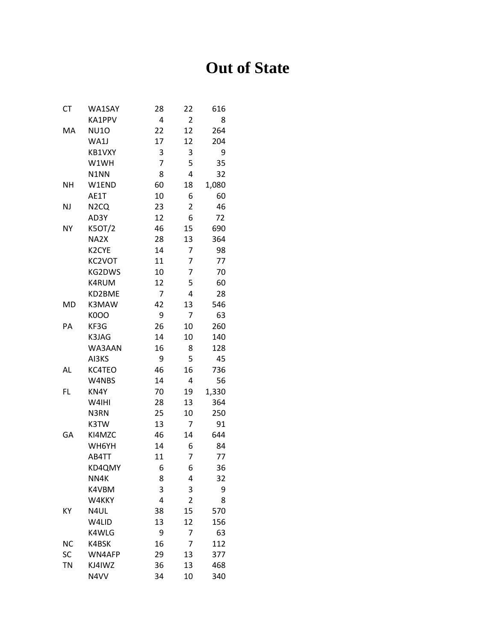## **Out of State**

| CT        | WA1SAY            | 28 | 22             | 616   |
|-----------|-------------------|----|----------------|-------|
|           | KA1PPV            | 4  | 2              | 8     |
| MA        | <b>NU10</b>       | 22 | 12             | 264   |
|           | WA1J              | 17 | 12             | 204   |
|           | KB1VXY            | 3  | 3              | 9     |
|           | W1WH              | 7  | 5              | 35    |
|           | N1NN              | 8  | 4              | 32    |
| <b>NH</b> | W1END             | 60 | 18             | 1,080 |
|           | AE1T              | 10 | 6              | 60    |
| <b>NJ</b> | N <sub>2</sub> CQ | 23 | 2              | 46    |
|           | AD3Y              | 12 | 6              | 72    |
| NY        | K5OT/2            | 46 | 15             | 690   |
|           | NA2X              | 28 | 13             | 364   |
|           | K2CYE             | 14 | 7              | 98    |
|           | KC2VOT            | 11 | 7              | 77    |
|           | KG2DWS            | 10 | 7              | 70    |
|           | K4RUM             | 12 | 5              | 60    |
|           | KD2BME            | 7  | 4              | 28    |
| MD        | K3MAW             | 42 | 13             | 546   |
|           | <b>K000</b>       | 9  | 7              | 63    |
| PA        | KF3G              | 26 | 10             | 260   |
|           | K3JAG             | 14 | 10             | 140   |
|           | WA3AAN            | 16 | 8              | 128   |
|           | AI3KS             | 9  | 5              | 45    |
| AL        | KC4TEO            | 46 | 16             | 736   |
|           | W4NBS             | 14 | 4              | 56    |
| FL        | KN4Y              | 70 | 19             | 1,330 |
|           | W4IHI             | 28 | 13             | 364   |
|           | N3RN              | 25 | 10             | 250   |
|           | K3TW              | 13 | 7              | 91    |
| GA        | KI4MZC            | 46 | 14             | 644   |
|           | WH6YH             | 14 | 6              | 84    |
|           | AB4TT             | 11 | 7              | 77    |
|           | KD4QMY            | 6  | 6              | 36    |
|           | NN4K              | 8  | 4              | 32    |
|           | K4VBM             | 3  | 3              | 9     |
|           | W4KKY             | 4  | $\overline{2}$ | 8     |
| ΚY        | N4UL              | 38 | 15             | 570   |
|           | W4LID             | 13 | 12             | 156   |
|           | K4WLG             | 9  | 7              | 63    |
| <b>NC</b> | K4BSK             | 16 | 7              | 112   |
| SC        | WN4AFP            | 29 | 13             | 377   |
| <b>TN</b> | KJ4IWZ            | 36 | 13             | 468   |
|           | N4VV              | 34 | 10             | 340   |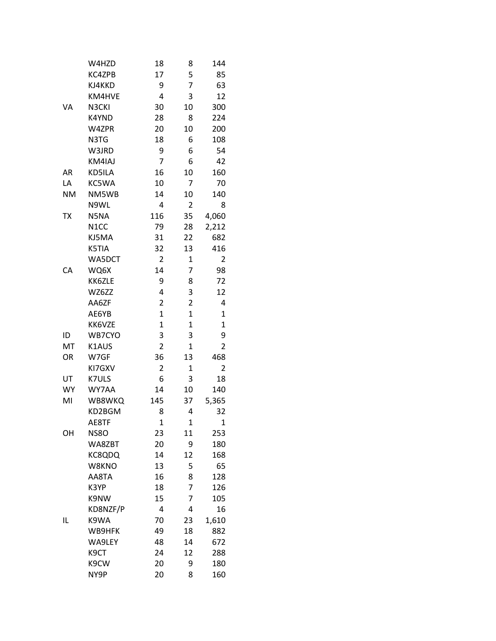|           | W4HZD             | 18           | 8              | 144          |
|-----------|-------------------|--------------|----------------|--------------|
|           | KC4ZPB            | 17           | 5              | 85           |
|           | KJ4KKD            | 9            | 7              | 63           |
|           | KM4HVE            | 4            | 3              | 12           |
| VA        | N3CKI             | 30           | 10             | 300          |
|           | K4YND             | 28           | 8              | 224          |
|           | W4ZPR             | 20           | 10             | 200          |
|           | N3TG              | 18           | 6              | 108          |
|           | W3JRD             | 9            | 6              | 54           |
|           | KM4IAJ            | 7            | 6              | 42           |
| AR        | KD5ILA            | 16           | 10             | 160          |
| LA        | KC5WA             | 10           | 7              | 70           |
| <b>NM</b> | NM5WB             | 14           | 10             | 140          |
|           | N9WL              | 4            | 2              | 8            |
| <b>ΤX</b> | N5NA              | 116          | 35             | 4,060        |
|           | N <sub>1</sub> CC | 79           | 28             | 2,212        |
|           | KJ5MA             | 31           | 22             | 682          |
|           | K5TIA             | 32           | 13             | 416          |
|           | WA5DCT            | 2            | $\mathbf{1}$   | 2            |
| CA        | WQ6X              | 14           | 7              | 98           |
|           | KK6ZLE            | 9            | 8              | 72           |
|           | WZ6ZZ             | 4            | 3              | 12           |
|           | AA6ZF             | 2            | 2              | 4            |
|           | AE6YB             | $\mathbf{1}$ | 1              | 1            |
|           | KK6VZE            | $\mathbf{1}$ | $\overline{1}$ | $\mathbf{1}$ |
| ID        | WB7CYO            | 3            | 3              | 9            |
| MT        | K1AUS             | 2            | 1              | 2            |
| OR        | W7GF              | 36           | 13             | 468          |
|           | KI7GXV            | 2            | 1              | 2            |
| UT        | K7ULS             | 6            | 3              | 18           |
| <b>WY</b> | WY7AA             | 14           | 10             | 140          |
| MI        | WB8WKQ            | 145          | 37             | 5,365        |
|           | KD2BGM            | 8            | 4              | 32           |
|           | AE8TF             | $\mathbf{1}$ | $\mathbf{1}$   | $\mathbf{1}$ |
| OH        | <b>NS80</b>       | 23           | 11             | 253          |
|           | WA8ZBT            | 20           | 9              | 180          |
|           | KC8QDQ            | 14           | 12             | 168          |
|           | W8KNO             | 13           | 5              | 65           |
|           | AA8TA             | 16           | 8              | 128          |
|           | K3YP              | 18           | 7              | 126          |
|           | K9NW              | 15           | 7              | 105          |
|           | KD8NZF/P          | 4            | 4              | 16           |
| IL        | K9WA              | 70           | 23             | 1,610        |
|           | WB9HFK            | 49           | 18             | 882          |
|           | WA9LEY            | 48           | 14             | 672          |
|           | K9CT              | 24           | 12             | 288          |
|           | K9CW              | 20           | 9              | 180          |
|           | NY9P              | 20           | 8              | 160          |